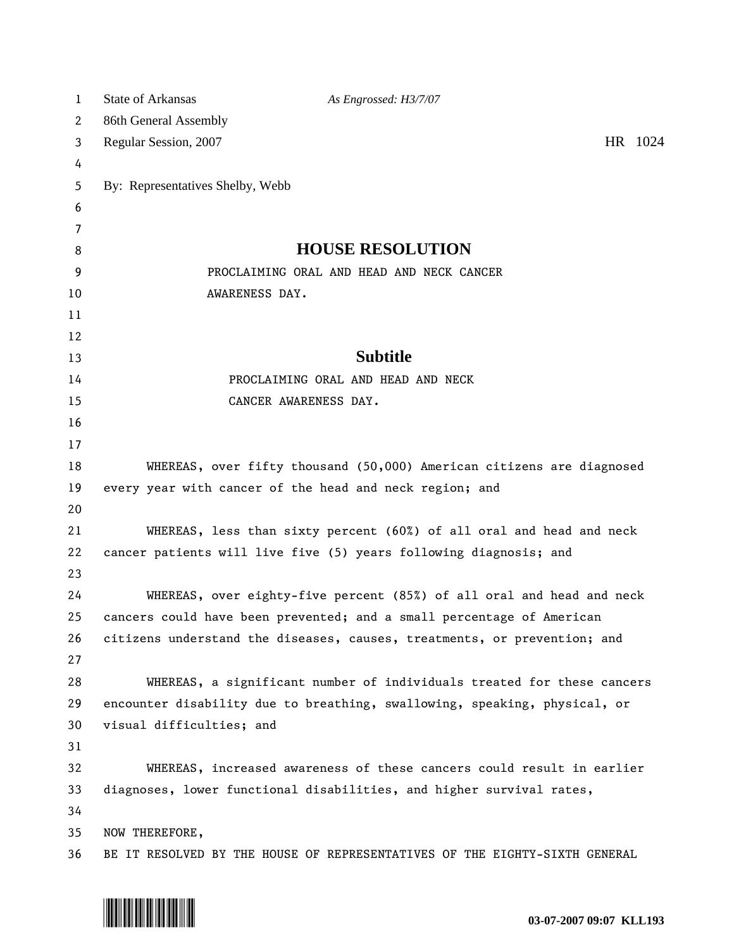| $\mathbf{1}$ | <b>State of Arkansas</b><br>As Engrossed: H3/7/07                          |  |
|--------------|----------------------------------------------------------------------------|--|
| 2            | 86th General Assembly                                                      |  |
| 3            | HR 1024<br>Regular Session, 2007                                           |  |
| 4            |                                                                            |  |
| 5            | By: Representatives Shelby, Webb                                           |  |
| 6            |                                                                            |  |
| 7            |                                                                            |  |
| 8            | <b>HOUSE RESOLUTION</b>                                                    |  |
| 9            | PROCLAIMING ORAL AND HEAD AND NECK CANCER                                  |  |
| 10           | AWARENESS DAY.                                                             |  |
| 11           |                                                                            |  |
| 12           |                                                                            |  |
| 13           | <b>Subtitle</b>                                                            |  |
| 14           | PROCLAIMING ORAL AND HEAD AND NECK                                         |  |
| 15           | CANCER AWARENESS DAY.                                                      |  |
| 16           |                                                                            |  |
| 17           |                                                                            |  |
| 18           | WHEREAS, over fifty thousand (50,000) American citizens are diagnosed      |  |
| 19           | every year with cancer of the head and neck region; and                    |  |
| 20           |                                                                            |  |
| 21           | WHEREAS, less than sixty percent (60%) of all oral and head and neck       |  |
| 22           | cancer patients will live five (5) years following diagnosis; and          |  |
| 23           |                                                                            |  |
| 24           | WHEREAS, over eighty-five percent (85%) of all oral and head and neck      |  |
| 25           | cancers could have been prevented; and a small percentage of American      |  |
| 26           | citizens understand the diseases, causes, treatments, or prevention; and   |  |
| 27           |                                                                            |  |
| 28           | WHEREAS, a significant number of individuals treated for these cancers     |  |
| 29           | encounter disability due to breathing, swallowing, speaking, physical, or  |  |
| 30           | visual difficulties; and                                                   |  |
| 31           |                                                                            |  |
| 32           | WHEREAS, increased awareness of these cancers could result in earlier      |  |
| 33           | diagnoses, lower functional disabilities, and higher survival rates,       |  |
| 34           |                                                                            |  |
| 35           | NOW THEREFORE,                                                             |  |
| 36           | BE IT RESOLVED BY THE HOUSE OF REPRESENTATIVES OF THE EIGHTY-SIXTH GENERAL |  |